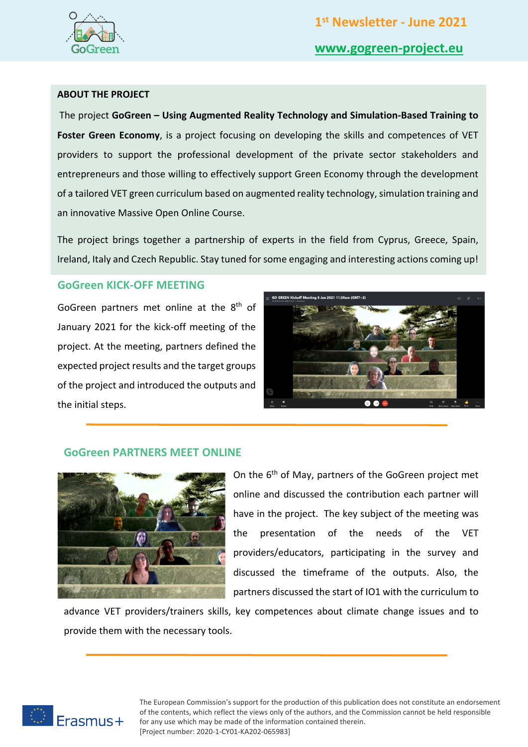

## **ABOUT THE PROJECT**

The project **GoGreen – Using Augmented Reality Technology and Simulation-Based Training to**  Foster Green Economy, is a project focusing on developing the skills and competences of VET providers to support the professional development of the private sector stakeholders and entrepreneurs and those willing to effectively support Green Economy through the development of a tailored VET green curriculum based on augmented reality technology, simulation training and an innovative Massive Open Online Course.

The project brings together a partnership of experts in the field from Cyprus, Greece, Spain, Ireland, Italy and Czech Republic. Stay tuned for some engaging and interesting actions coming up!

## **GoGreen KICK-OFF MEETING**

GoGreen partners met online at the 8<sup>th</sup> of January 2021 for the kick-off meeting of the project. At the meeting, partners defined the expected project results and the target groups of the project and introduced the outputs and the initial steps.



## **GoGreen PARTNERS MEET ONLINE**



On the 6<sup>th</sup> of May, partners of the GoGreen project met online and discussed the contribution each partner will have in the project. The key subject of the meeting was the presentation of the needs of the VET providers/educators, participating in the survey and discussed the timeframe of the outputs. Also, the partners discussed the start of IO1 with the curriculum to

advance VET providers/trainers skills, key competences about climate change issues and to provide them with the necessary tools.